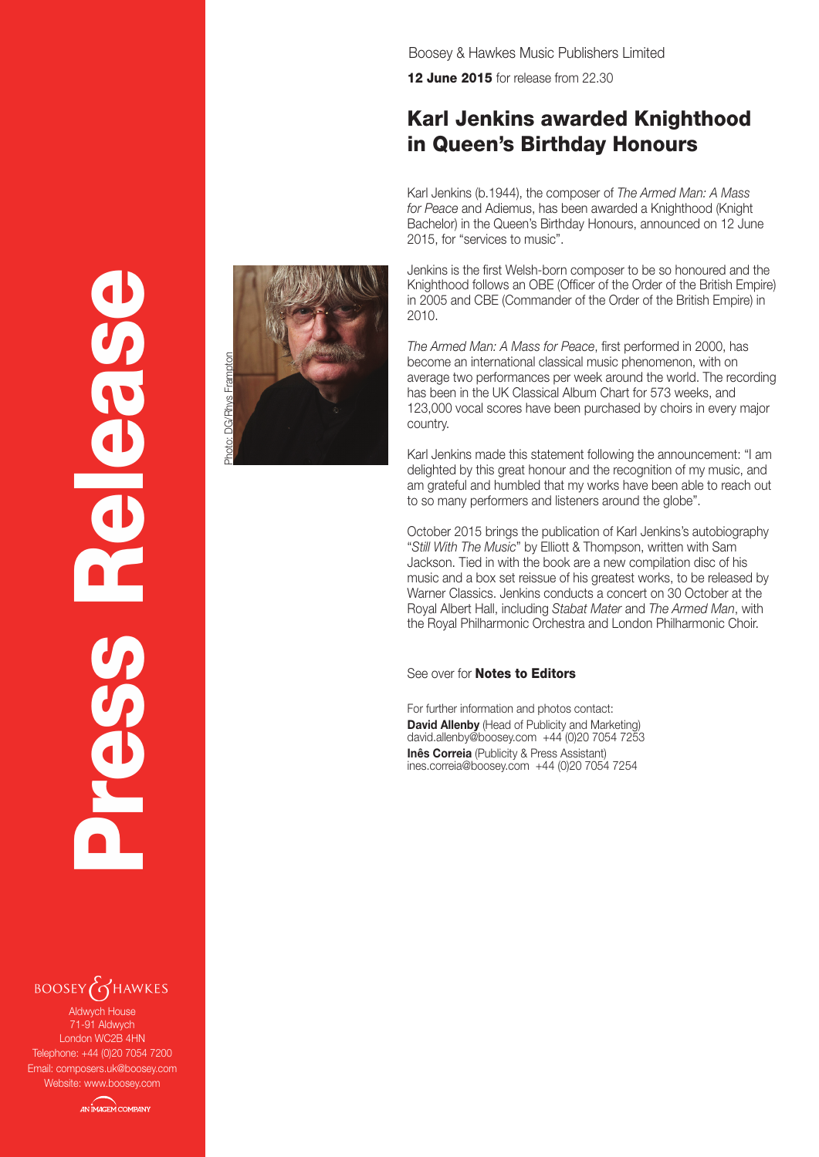Boosey & Hawkes Music Publishers Limited

12 June 2015 for release from 22.30

## Karl Jenkins awarded Knighthood in Queen's Birthday Honours

Karl Jenkins (b.1944), the composer of *The Armed Man: A Mass for Peace* and Adiemus, has been awarded a Knighthood (Knight Bachelor) in the Queen's Birthday Honours, announced on 12 June 2015, for "services to music".

Jenkins is the first Welsh-born composer to be so honoured and the Knighthood follows an OBE (Officer of the Order of the British Empire) in 2005 and CBE (Commander of the Order of the British Empire) in 2010.

*The Armed Man: A Mass for Peace*, first performed in 2000, has become an international classical music phenomenon, with on average two performances per week around the world. The recording has been in the UK Classical Album Chart for 573 weeks, and 123,000 vocal scores have been purchased by choirs in every major country.

Karl Jenkins made this statement following the announcement: "I am delighted by this great honour and the recognition of my music, and am grateful and humbled that my works have been able to reach out to so many performers and listeners around the globe".

October 2015 brings the publication of Karl Jenkins's autobiography "*Still With The Music*" by Elliott & Thompson, written with Sam Jackson. Tied in with the book are a new compilation disc of his music and a box set reissue of his greatest works, to be released by Warner Classics. Jenkins conducts a concert on 30 October at the Royal Albert Hall, including *Stabat Mater* and *The Armed Man*, with the Royal Philharmonic Orchestra and London Philharmonic Choir.

## See over for **Notes to Editors**

For further information and photos contact: **David Allenby** (Head of Publicity and Marketing) david.allenby@boosey.com +44 (0)20 7054 7253 **Inês Correia** (Publicity & Press Assistant) ines.correia@boosey.com +44 (0)20 7054 7254





Press Release

Aldwych House 71-91 Aldwych London WC2B 4HN Telephone: +44 (0)20 7054 7200 Email: composers.uk@boosey.com Website: www.boosey.com

**AN IMAGEM COMPANY**